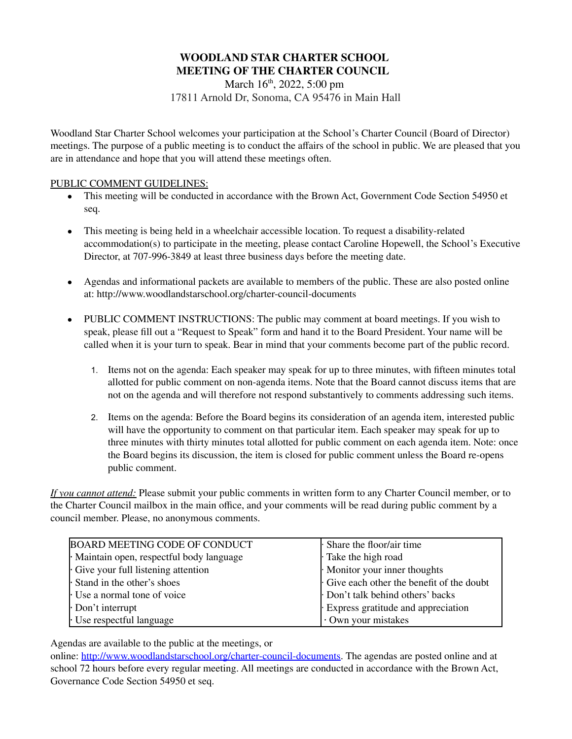# **WOODLAND STAR CHARTER SCHOOL MEETING OF THE CHARTER COUNCIL**

March 16<sup>th</sup>, 2022, 5:00 pm 17811 Arnold Dr, Sonoma, CA 95476 in Main Hall

Woodland Star Charter School welcomes your participation at the School's Charter Council (Board of Director) meetings. The purpose of a public meeting is to conduct the affairs of the school in public. We are pleased that you are in attendance and hope that you will attend these meetings often.

# PUBLIC COMMENT GUIDELINES:

- This meeting will be conducted in accordance with the Brown Act, Government Code Section 54950 et seq.
- This meeting is being held in a wheelchair accessible location. To request a disability-related accommodation(s) to participate in the meeting, please contact Caroline Hopewell, the School's Executive Director, at 707-996-3849 at least three business days before the meeting date.
- Agendas and informational packets are available to members of the public. These are also posted online at: http://www.woodlandstarschool.org/charter-council-documents
- PUBLIC COMMENT INSTRUCTIONS: The public may comment at board meetings. If you wish to speak, please fill out a "Request to Speak" form and hand it to the Board President. Your name will be called when it is your turn to speak. Bear in mind that your comments become part of the public record.
	- 1. Items not on the agenda: Each speaker may speak for up to three minutes, with fifteen minutes total allotted for public comment on non-agenda items. Note that the Board cannot discuss items that are not on the agenda and will therefore not respond substantively to comments addressing such items.
	- 2. Items on the agenda: Before the Board begins its consideration of an agenda item, interested public will have the opportunity to comment on that particular item. Each speaker may speak for up to three minutes with thirty minutes total allotted for public comment on each agenda item. Note: once the Board begins its discussion, the item is closed for public comment unless the Board re-opens public comment.

*If you cannot attend:* Please submit your public comments in written form to any Charter Council member, or to the Charter Council mailbox in the main office, and your comments will be read during public comment by a council member. Please, no anonymous comments.

| <b>BOARD MEETING CODE OF CONDUCT</b>    | · Share the floor/air time               |
|-----------------------------------------|------------------------------------------|
| Maintain open, respectful body language | Take the high road                       |
| Give your full listening attention      | $\cdot$ Monitor your inner thoughts      |
| Stand in the other's shoes              | Give each other the benefit of the doubt |
| Use a normal tone of voice              | Don't talk behind others' backs          |
| $\cdot$ Don't interrupt                 | Express gratitude and appreciation       |
| $\cdot$ Use respectful language         | Own your mistakes                        |

Agendas are available to the public at the meetings, or

online: [http://www.woodlandstarschool.org/charter-council-documents.](http://www.woodlandstarschool.org/charter-council-documents) The agendas are posted online and at school 72 hours before every regular meeting. All meetings are conducted in accordance with the Brown Act, Governance Code Section 54950 et seq.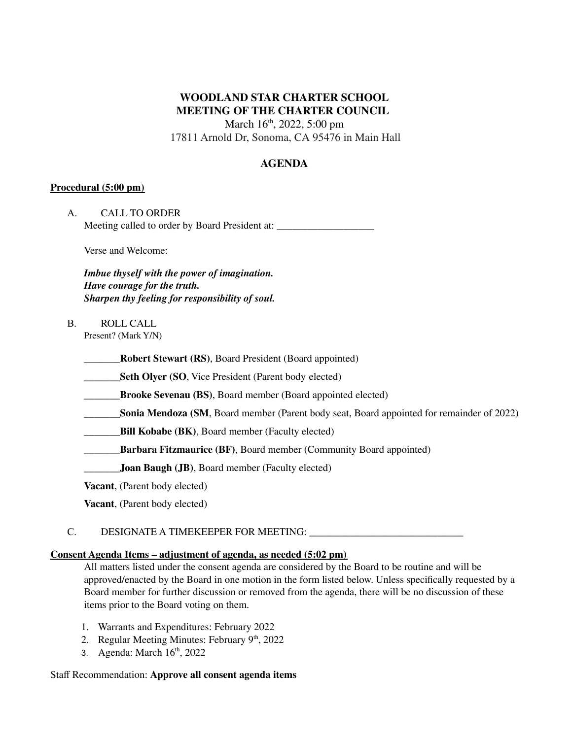# **WOODLAND STAR CHARTER SCHOOL MEETING OF THE CHARTER COUNCIL**

March 16<sup>th</sup>, 2022, 5:00 pm

17811 Arnold Dr, Sonoma, CA 95476 in Main Hall

# **AGENDA**

# **Procedural (5:00 pm)**

| A | <b>CALL TO ORDER</b>                           |  |
|---|------------------------------------------------|--|
|   | Meeting called to order by Board President at: |  |

Verse and Welcome:

*Imbue thyself with the power of imagination. Have courage for the truth. Sharpen thy feeling for responsibility of soul.*

B. ROLL CALL Present? (Mark Y/N)

**\_\_\_\_\_\_\_Robert Stewart (RS)**, Board President (Board appointed)

**Seth Olyer (SO, Vice President (Parent body elected)** 

**\_\_\_\_\_\_\_Brooke Sevenau (BS)**, Board member (Board appointed elected)

**Sonia Mendoza (SM**, Board member (Parent body seat, Board appointed for remainder of 2022)

**\_\_\_\_\_\_\_Bill Kobabe (BK)**, Board member (Faculty elected)

**\_\_\_\_\_\_\_Barbara Fitzmaurice (BF)**, Board member (Community Board appointed)

**\_\_\_\_\_\_\_Joan Baugh (JB)**, Board member (Faculty elected)

**Vacant**, (Parent body elected)

**Vacant**, (Parent body elected)

# C. DESIGNATE A TIMEKEEPER FOR MEETING: \_\_\_\_\_\_\_\_\_\_\_\_\_\_\_\_\_\_\_\_\_\_\_\_\_\_\_\_\_\_

# **Consent Agenda Items – adjustment of agenda, as needed (5:02 pm)**

All matters listed under the consent agenda are considered by the Board to be routine and will be approved/enacted by the Board in one motion in the form listed below. Unless specifically requested by a Board member for further discussion or removed from the agenda, there will be no discussion of these items prior to the Board voting on them.

- 1. Warrants and Expenditures: February 2022
- 2. Regular Meeting Minutes: February  $9<sup>th</sup>$ , 2022
- 3. Agenda: March 16 th , 2022

## Staff Recommendation: **Approve all consent agenda items**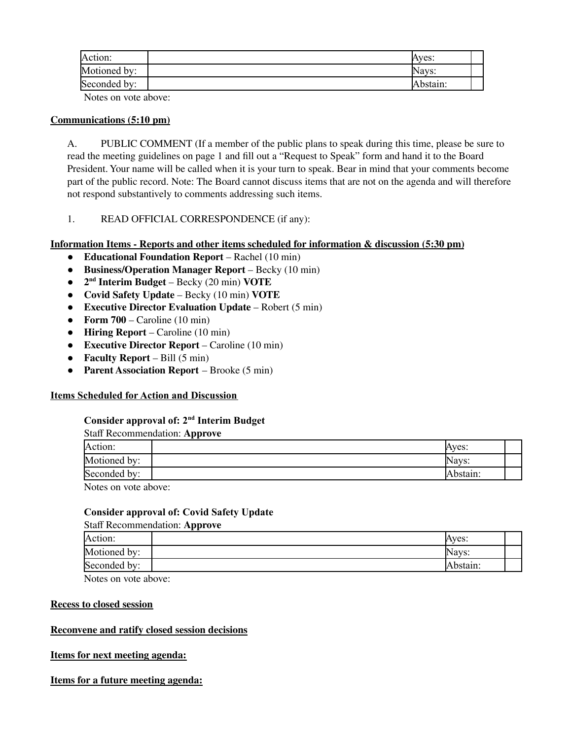| Action:      | Aves:    |  |
|--------------|----------|--|
| Motioned by: | Navs:    |  |
| Seconded by: | Abstain: |  |

Notes on vote above:

## **Communications (5:10 pm)**

A. PUBLIC COMMENT (If a member of the public plans to speak during this time, please be sure to read the meeting guidelines on page 1 and fill out a "Request to Speak" form and hand it to the Board President. Your name will be called when it is your turn to speak. Bear in mind that your comments become part of the public record. Note: The Board cannot discuss items that are not on the agenda and will therefore not respond substantively to comments addressing such items.

1. READ OFFICIAL CORRESPONDENCE (if any):

# **Information Items - Reports and other items scheduled for information & discussion (5:30 pm)**

- **Educational Foundation Report** Rachel (10 min)
- **Business/Operation Manager Report** Becky (10 min)
- **2 nd Interim Budget** Becky (20 min) **VOTE**
- **Covid Safety Update** Becky (10 min) **VOTE**
- **Executive Director Evaluation Update** Robert (5 min)
- **Form**  $700$  Caroline (10 min)
- **Hiring Report** Caroline (10 min)
- **Executive Director Report** Caroline (10 min)
- **Faculty Report** Bill (5 min)
- **Parent Association Report** Brooke (5 min)

# **Items Scheduled for Action and Discussion**

## **Consider approval of: 2 nd Interim Budget**

#### Staff Recommendation: **Approve**

| Action:      | Aves:    |  |
|--------------|----------|--|
| Motioned by: | Navs:    |  |
| Seconded by: | Abstain: |  |

Notes on vote above:

## **Consider approval of: Covid Safety Update**

## Staff Recommendation: **Approve**

| Action:      | Ayes:    |  |
|--------------|----------|--|
| Motioned by: | Navs:    |  |
| Seconded by: | .bstain: |  |

Notes on vote above:

## **Recess to closed session**

# **Reconvene and ratify closed session decisions**

## **Items for next meeting agenda:**

# **Items for a future meeting agenda:**